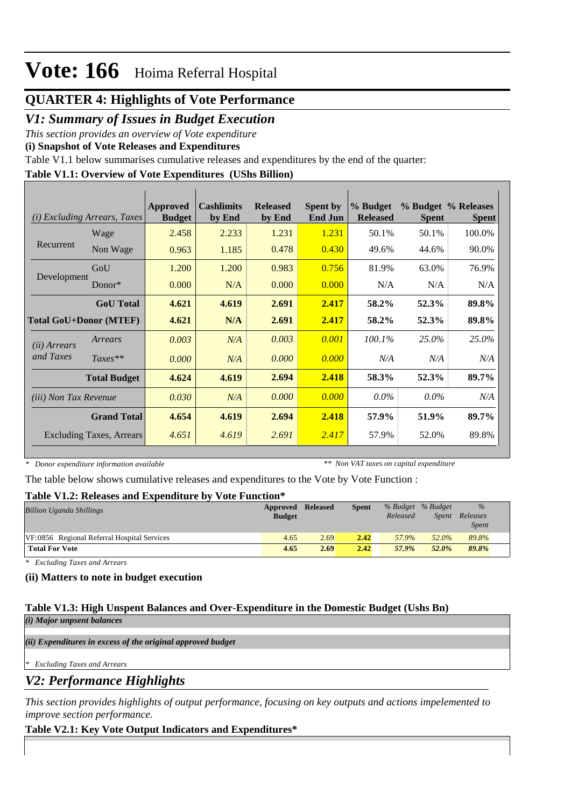## **QUARTER 4: Highlights of Vote Performance**

## *V1: Summary of Issues in Budget Execution*

*This section provides an overview of Vote expenditure* 

**(i) Snapshot of Vote Releases and Expenditures**

Table V1.1 below summarises cumulative releases and expenditures by the end of the quarter:

### **Table V1.1: Overview of Vote Expenditures (UShs Billion)**

| Excluding Arrears, Taxes<br>(i) |                     | <b>Approved</b><br><b>Budget</b> | <b>Cashlimits</b><br>by End | <b>Released</b><br>by End | <b>Spent by</b><br><b>End Jun</b> | % Budget<br><b>Released</b> | <b>Spent</b> | % Budget % Releases<br><b>Spent</b> |
|---------------------------------|---------------------|----------------------------------|-----------------------------|---------------------------|-----------------------------------|-----------------------------|--------------|-------------------------------------|
|                                 | Wage                | 2.458                            | 2.233                       | 1.231                     | 1.231                             | 50.1%                       | 50.1%        | 100.0%                              |
| Recurrent                       | Non Wage            | 0.963                            | 1.185                       | 0.478                     | 0.430                             | 49.6%                       | 44.6%        | 90.0%                               |
|                                 | GoU                 | 1.200                            | 1.200                       | 0.983                     | 0.756                             | 81.9%                       | 63.0%        | 76.9%                               |
| Development                     | $Donor*$            | 0.000                            | N/A                         | 0.000                     | 0.000                             | N/A                         | N/A          | N/A                                 |
|                                 | <b>GoU</b> Total    | 4.621                            | 4.619                       | 2.691                     | 2.417                             | 58.2%                       | 52.3%        | 89.8%                               |
| <b>Total GoU+Donor (MTEF)</b>   |                     | 4.621                            | N/A                         | 2.691                     | 2.417                             | 58.2%                       | 52.3%        | 89.8%                               |
| ( <i>ii</i> ) Arrears           | Arrears             | 0.003                            | N/A                         | 0.003                     | 0.001                             | $100.1\%$                   | 25.0%        | 25.0%                               |
| and Taxes                       | $Taxes**$           | 0.000                            | N/A                         | 0.000                     | 0.000                             | N/A                         | N/A          | N/A                                 |
|                                 | <b>Total Budget</b> | 4.624                            | 4.619                       | 2.694                     | 2.418                             | 58.3%                       | 52.3%        | 89.7%                               |
| (iii) Non Tax Revenue           |                     | 0.030                            | N/A                         | 0.000                     | 0.000                             | $0.0\%$                     | $0.0\%$      | N/A                                 |
|                                 | <b>Grand Total</b>  | 4.654                            | 4.619                       | 2.694                     | 2.418                             | 57.9%                       | 51.9%        | 89.7%                               |
| <b>Excluding Taxes, Arrears</b> |                     | 4.651                            | 4.619                       | 2.691                     | 2.417                             | 57.9%                       | 52.0%        | 89.8%                               |

*\* Donor expenditure information available*

*\*\* Non VAT taxes on capital expenditure*

The table below shows cumulative releases and expenditures to the Vote by Vote Function :

### **Table V1.2: Releases and Expenditure by Vote Function\***

| A WAJAU TI ATATI ATUJUWA UJITU WAANA MJIJIMA UMA U MT<br>$\sqrt{2}$ |               |                 |              |          |                   |              |
|---------------------------------------------------------------------|---------------|-----------------|--------------|----------|-------------------|--------------|
| <b>Billion Uganda Shillings</b>                                     | Approved      | <b>Released</b> | <b>Spent</b> |          | % Budget % Budget | $\%$         |
|                                                                     | <b>Budget</b> |                 |              | Released | Spent             | Releases     |
|                                                                     |               |                 |              |          |                   | <i>Spent</i> |
| VF:0856 Regional Referral Hospital Services                         | 4.65          | 2.69            | 2.42         | 57.9%    | 52.0%             | 89.8%        |
| <b>Total For Vote</b>                                               | 4.65          | 2.69            | 2.42         | 57.9%    | 52.0%             | 89.8%        |

*\* Excluding Taxes and Arrears*

### **(ii) Matters to note in budget execution**

#### **Table V1.3: High Unspent Balances and Over-Expenditure in the Domestic Budget (Ushs Bn)** *(i) Major unpsent balances*

*(ii) Expenditures in excess of the original approved budget*

*\* Excluding Taxes and Arrears*

*V2: Performance Highlights*

*This section provides highlights of output performance, focusing on key outputs and actions impelemented to improve section performance.*

## **Table V2.1: Key Vote Output Indicators and Expenditures\***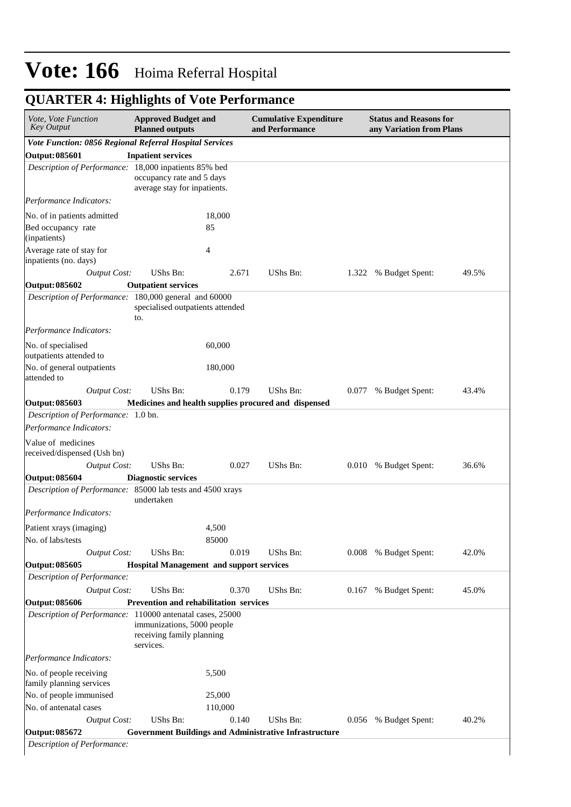| Vote, Vote Function<br><b>Key Output</b>                       | <b>Approved Budget and</b><br><b>Planned outputs</b>                 |         | <b>Cumulative Expenditure</b><br>and Performance              |       | <b>Status and Reasons for</b><br>any Variation from Plans |       |  |  |
|----------------------------------------------------------------|----------------------------------------------------------------------|---------|---------------------------------------------------------------|-------|-----------------------------------------------------------|-------|--|--|
| Vote Function: 0856 Regional Referral Hospital Services        |                                                                      |         |                                                               |       |                                                           |       |  |  |
| <b>Output: 085601</b>                                          | <b>Inpatient services</b>                                            |         |                                                               |       |                                                           |       |  |  |
| Description of Performance: 18,000 inpatients 85% bed          | occupancy rate and 5 days<br>average stay for inpatients.            |         |                                                               |       |                                                           |       |  |  |
| Performance Indicators:                                        |                                                                      |         |                                                               |       |                                                           |       |  |  |
| No. of in patients admitted                                    |                                                                      | 18,000  |                                                               |       |                                                           |       |  |  |
| Bed occupancy rate<br>(inpatients)                             |                                                                      | 85      |                                                               |       |                                                           |       |  |  |
| Average rate of stay for<br>inpatients (no. days)              |                                                                      | 4       |                                                               |       |                                                           |       |  |  |
| <b>Output Cost:</b>                                            | UShs Bn:                                                             | 2.671   | UShs Bn:                                                      | 1.322 | % Budget Spent:                                           | 49.5% |  |  |
| <b>Output: 085602</b>                                          | <b>Outpatient services</b>                                           |         |                                                               |       |                                                           |       |  |  |
| Description of Performance: 180,000 general and 60000          | specialised outpatients attended<br>to.                              |         |                                                               |       |                                                           |       |  |  |
| Performance Indicators:                                        |                                                                      |         |                                                               |       |                                                           |       |  |  |
| No. of specialised<br>outpatients attended to                  |                                                                      | 60,000  |                                                               |       |                                                           |       |  |  |
| No. of general outpatients<br>attended to                      |                                                                      | 180,000 |                                                               |       |                                                           |       |  |  |
| <b>Output Cost:</b>                                            | UShs Bn:                                                             | 0.179   | <b>UShs Bn:</b>                                               | 0.077 | % Budget Spent:                                           | 43.4% |  |  |
| <b>Output: 085603</b>                                          |                                                                      |         | Medicines and health supplies procured and dispensed          |       |                                                           |       |  |  |
| Description of Performance: 1.0 bn.<br>Performance Indicators: |                                                                      |         |                                                               |       |                                                           |       |  |  |
| Value of medicines<br>received/dispensed (Ush bn)              |                                                                      |         |                                                               |       |                                                           |       |  |  |
| <b>Output Cost:</b>                                            | UShs Bn:                                                             | 0.027   | UShs Bn:                                                      | 0.010 | % Budget Spent:                                           | 36.6% |  |  |
| <b>Output: 085604</b>                                          | <b>Diagnostic services</b>                                           |         |                                                               |       |                                                           |       |  |  |
| Description of Performance: 85000 lab tests and 4500 xrays     | undertaken                                                           |         |                                                               |       |                                                           |       |  |  |
| Performance Indicators:                                        |                                                                      |         |                                                               |       |                                                           |       |  |  |
| Patient xrays (imaging)                                        |                                                                      | 4,500   |                                                               |       |                                                           |       |  |  |
| No. of labs/tests                                              |                                                                      | 85000   |                                                               |       |                                                           |       |  |  |
| <b>Output Cost:</b>                                            | UShs Bn:                                                             | 0.019   | <b>UShs Bn:</b>                                               | 0.008 | % Budget Spent:                                           | 42.0% |  |  |
| <b>Output: 085605</b>                                          | <b>Hospital Management and support services</b>                      |         |                                                               |       |                                                           |       |  |  |
| Description of Performance:                                    |                                                                      |         |                                                               |       |                                                           |       |  |  |
| <b>Output Cost:</b>                                            | UShs Bn:                                                             | 0.370   | UShs Bn:                                                      | 0.167 | % Budget Spent:                                           | 45.0% |  |  |
| <b>Output: 085606</b>                                          | Prevention and rehabilitation services                               |         |                                                               |       |                                                           |       |  |  |
| Description of Performance: 110000 antenatal cases, 25000      | immunizations, 5000 people<br>receiving family planning<br>services. |         |                                                               |       |                                                           |       |  |  |
| Performance Indicators:                                        |                                                                      |         |                                                               |       |                                                           |       |  |  |
| No. of people receiving<br>family planning services            |                                                                      | 5,500   |                                                               |       |                                                           |       |  |  |
| No. of people immunised                                        |                                                                      | 25,000  |                                                               |       |                                                           |       |  |  |
| No. of antenatal cases                                         |                                                                      | 110,000 |                                                               |       |                                                           |       |  |  |
| <b>Output Cost:</b>                                            | UShs Bn:                                                             | 0.140   | UShs Bn:                                                      | 0.056 | % Budget Spent:                                           | 40.2% |  |  |
| <b>Output: 085672</b>                                          |                                                                      |         | <b>Government Buildings and Administrative Infrastructure</b> |       |                                                           |       |  |  |

## **QUARTER 4: Highlights of Vote Performance**

*Description of Performance:*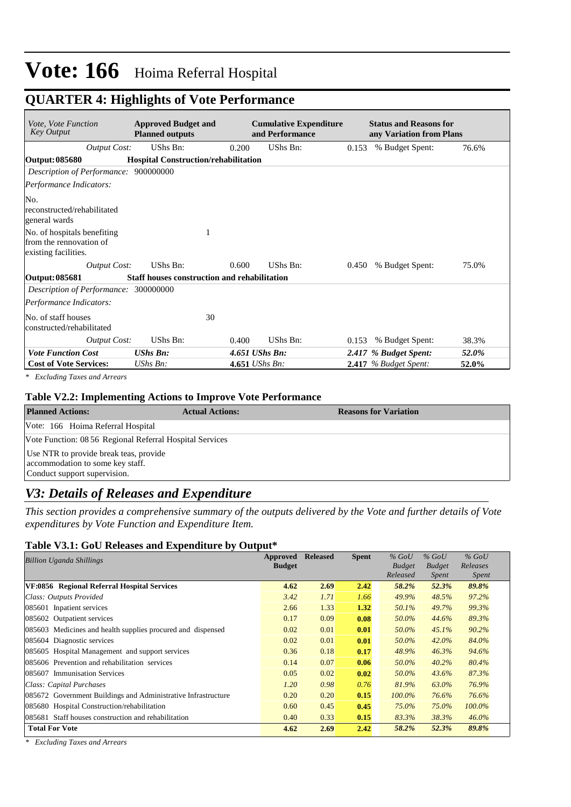### **QUARTER 4: Highlights of Vote Performance**

| <i>Vote, Vote Function</i><br><b>Key Output</b>                                | <b>Approved Budget and</b><br><b>Planned outputs</b> |       | <b>Cumulative Expenditure</b><br>and Performance |       | <b>Status and Reasons for</b><br>any Variation from Plans |       |
|--------------------------------------------------------------------------------|------------------------------------------------------|-------|--------------------------------------------------|-------|-----------------------------------------------------------|-------|
| <b>Output Cost:</b>                                                            | UShs Bn:                                             | 0.200 | UShs Bn:                                         | 0.153 | % Budget Spent:                                           | 76.6% |
| Output: 085680                                                                 | <b>Hospital Construction/rehabilitation</b>          |       |                                                  |       |                                                           |       |
| Description of Performance: 900000000                                          |                                                      |       |                                                  |       |                                                           |       |
| Performance Indicators:                                                        |                                                      |       |                                                  |       |                                                           |       |
| No.<br>reconstructed/rehabilitated<br>general wards                            |                                                      |       |                                                  |       |                                                           |       |
| No. of hospitals benefiting<br>from the rennovation of<br>existing facilities. | 1                                                    |       |                                                  |       |                                                           |       |
| Output Cost:                                                                   | UShs Bn:                                             | 0.600 | UShs Bn:                                         | 0.450 | % Budget Spent:                                           | 75.0% |
| Output: 085681                                                                 | Staff houses construction and rehabilitation         |       |                                                  |       |                                                           |       |
| Description of Performance: 300000000<br>Performance Indicators:               |                                                      |       |                                                  |       |                                                           |       |
| No. of staff houses<br>constructed/rehabilitated                               | 30                                                   |       |                                                  |       |                                                           |       |
| Output Cost:                                                                   | UShs Bn:                                             | 0.400 | UShs Bn:                                         | 0.153 | % Budget Spent:                                           | 38.3% |
| <b>Vote Function Cost</b>                                                      | <b>UShs Bn:</b>                                      |       | 4.651 UShs Bn:                                   |       | 2.417 % Budget Spent:                                     | 52.0% |
| <b>Cost of Vote Services:</b>                                                  | UShs Bn:                                             |       | 4.651 UShs Bn:                                   |       | $2.417$ % Budget Spent:                                   | 52.0% |

*\* Excluding Taxes and Arrears*

#### **Table V2.2: Implementing Actions to Improve Vote Performance**

| <b>Planned Actions:</b>                                                                                    | <b>Actual Actions:</b> | <b>Reasons for Variation</b> |  |  |  |  |  |
|------------------------------------------------------------------------------------------------------------|------------------------|------------------------------|--|--|--|--|--|
| Vote: 166 Hoima Referral Hospital                                                                          |                        |                              |  |  |  |  |  |
| Vote Function: 08 56 Regional Referral Hospital Services                                                   |                        |                              |  |  |  |  |  |
| Use NTR to provide break teas, provide<br>accommodation to some key staff.<br>Conduct support supervision. |                        |                              |  |  |  |  |  |

### *V3: Details of Releases and Expenditure*

*This section provides a comprehensive summary of the outputs delivered by the Vote and further details of Vote expenditures by Vote Function and Expenditure Item.*

#### **Table V3.1: GoU Releases and Expenditure by Output\***

| <b>Billion Uganda Shillings</b>                               | Approved      | <b>Released</b> | <b>Spent</b> | $%$ GoU       | $%$ GoU       | $%$ GoU      |
|---------------------------------------------------------------|---------------|-----------------|--------------|---------------|---------------|--------------|
|                                                               | <b>Budget</b> |                 |              | <b>Budget</b> | <b>Budget</b> | Releases     |
|                                                               |               |                 |              | Released      | <i>Spent</i>  | <i>Spent</i> |
| VF:0856 Regional Referral Hospital Services                   | 4.62          | 2.69            | 2.42         | 58.2%         | 52.3%         | 89.8%        |
| Class: Outputs Provided                                       | 3.42          | 1.71            | 1.66         | 49.9%         | 48.5%         | 97.2%        |
| 085601 Inpatient services                                     | 2.66          | 1.33            | 1.32         | 50.1%         | 49.7%         | 99.3%        |
| 085602 Outpatient services                                    | 0.17          | 0.09            | 0.08         | 50.0%         | 44.6%         | 89.3%        |
| 085603 Medicines and health supplies procured and dispensed   | 0.02          | 0.01            | 0.01         | 50.0%         | 45.1%         | 90.2%        |
| 085604 Diagnostic services                                    | 0.02          | 0.01            | 0.01         | 50.0%         | 42.0%         | 84.0%        |
| 085605 Hospital Management and support services               | 0.36          | 0.18            | 0.17         | 48.9%         | 46.3%         | 94.6%        |
| 085606 Prevention and rehabilitation services                 | 0.14          | 0.07            | 0.06         | 50.0%         | 40.2%         | 80.4%        |
| 085607 Immunisation Services                                  | 0.05          | 0.02            | 0.02         | 50.0%         | 43.6%         | 87.3%        |
| Class: Capital Purchases                                      | 1.20          | 0.98            | 0.76         | 81.9%         | 63.0%         | 76.9%        |
| 085672 Government Buildings and Administrative Infrastructure | 0.20          | 0.20            | 0.15         | $100.0\%$     | 76.6%         | 76.6%        |
| 085680 Hospital Construction/rehabilitation                   | 0.60          | 0.45            | 0.45         | 75.0%         | 75.0%         | $100.0\%$    |
| 085681 Staff houses construction and rehabilitation           | 0.40          | 0.33            | 0.15         | 83.3%         | 38.3%         | $46.0\%$     |
| <b>Total For Vote</b>                                         | 4.62          | 2.69            | 2.42         | 58.2%         | 52.3%         | 89.8%        |

*\* Excluding Taxes and Arrears*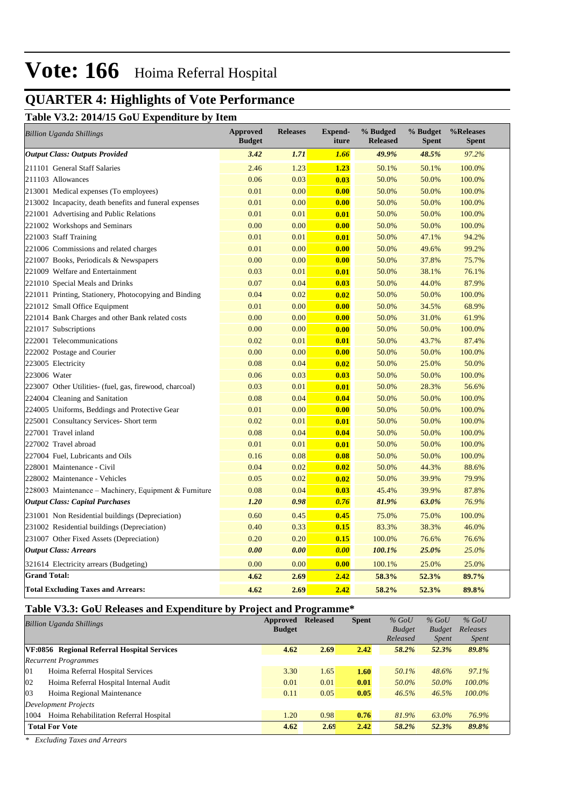## **QUARTER 4: Highlights of Vote Performance**

#### **Table V3.2: 2014/15 GoU Expenditure by Item**

| <b>Billion Uganda Shillings</b>                         | <b>Approved</b><br><b>Budget</b> | <b>Releases</b> | <b>Expend-</b><br>iture | % Budged<br><b>Released</b> | % Budget<br><b>Spent</b> | %Releases<br><b>Spent</b> |
|---------------------------------------------------------|----------------------------------|-----------------|-------------------------|-----------------------------|--------------------------|---------------------------|
| <b>Output Class: Outputs Provided</b>                   | 3.42                             | 1.71            | 1.66                    | 49.9%                       | 48.5%                    | 97.2%                     |
| 211101 General Staff Salaries                           | 2.46                             | 1.23            | 1.23                    | 50.1%                       | 50.1%                    | 100.0%                    |
| 211103 Allowances                                       | 0.06                             | 0.03            | 0.03                    | 50.0%                       | 50.0%                    | 100.0%                    |
| 213001 Medical expenses (To employees)                  | 0.01                             | 0.00            | 0.00                    | 50.0%                       | 50.0%                    | 100.0%                    |
| 213002 Incapacity, death benefits and funeral expenses  | 0.01                             | 0.00            | 0.00                    | 50.0%                       | 50.0%                    | 100.0%                    |
| 221001 Advertising and Public Relations                 | 0.01                             | 0.01            | 0.01                    | 50.0%                       | 50.0%                    | 100.0%                    |
| 221002 Workshops and Seminars                           | 0.00                             | 0.00            | 0.00                    | 50.0%                       | 50.0%                    | 100.0%                    |
| 221003 Staff Training                                   | 0.01                             | 0.01            | 0.01                    | 50.0%                       | 47.1%                    | 94.2%                     |
| 221006 Commissions and related charges                  | 0.01                             | 0.00            | 0.00                    | 50.0%                       | 49.6%                    | 99.2%                     |
| 221007 Books, Periodicals & Newspapers                  | 0.00                             | 0.00            | 0.00                    | 50.0%                       | 37.8%                    | 75.7%                     |
| 221009 Welfare and Entertainment                        | 0.03                             | 0.01            | 0.01                    | 50.0%                       | 38.1%                    | 76.1%                     |
| 221010 Special Meals and Drinks                         | 0.07                             | 0.04            | 0.03                    | 50.0%                       | 44.0%                    | 87.9%                     |
| 221011 Printing, Stationery, Photocopying and Binding   | 0.04                             | 0.02            | 0.02                    | 50.0%                       | 50.0%                    | 100.0%                    |
| 221012 Small Office Equipment                           | 0.01                             | 0.00            | 0.00                    | 50.0%                       | 34.5%                    | 68.9%                     |
| 221014 Bank Charges and other Bank related costs        | 0.00                             | 0.00            | 0.00                    | 50.0%                       | 31.0%                    | 61.9%                     |
| 221017 Subscriptions                                    | 0.00                             | 0.00            | 0.00                    | 50.0%                       | 50.0%                    | 100.0%                    |
| 222001 Telecommunications                               | 0.02                             | 0.01            | 0.01                    | 50.0%                       | 43.7%                    | 87.4%                     |
| 222002 Postage and Courier                              | 0.00                             | 0.00            | 0.00                    | 50.0%                       | 50.0%                    | 100.0%                    |
| 223005 Electricity                                      | 0.08                             | 0.04            | 0.02                    | 50.0%                       | 25.0%                    | 50.0%                     |
| 223006 Water                                            | 0.06                             | 0.03            | 0.03                    | 50.0%                       | 50.0%                    | 100.0%                    |
| 223007 Other Utilities- (fuel, gas, firewood, charcoal) | 0.03                             | 0.01            | 0.01                    | 50.0%                       | 28.3%                    | 56.6%                     |
| 224004 Cleaning and Sanitation                          | 0.08                             | 0.04            | 0.04                    | 50.0%                       | 50.0%                    | 100.0%                    |
| 224005 Uniforms, Beddings and Protective Gear           | 0.01                             | 0.00            | 0.00                    | 50.0%                       | 50.0%                    | 100.0%                    |
| 225001 Consultancy Services- Short term                 | 0.02                             | 0.01            | 0.01                    | 50.0%                       | 50.0%                    | 100.0%                    |
| 227001 Travel inland                                    | 0.08                             | 0.04            | 0.04                    | 50.0%                       | 50.0%                    | 100.0%                    |
| 227002 Travel abroad                                    | 0.01                             | 0.01            | 0.01                    | 50.0%                       | 50.0%                    | 100.0%                    |
| 227004 Fuel, Lubricants and Oils                        | 0.16                             | 0.08            | 0.08                    | 50.0%                       | 50.0%                    | 100.0%                    |
| 228001 Maintenance - Civil                              | 0.04                             | 0.02            | 0.02                    | 50.0%                       | 44.3%                    | 88.6%                     |
| 228002 Maintenance - Vehicles                           | 0.05                             | 0.02            | 0.02                    | 50.0%                       | 39.9%                    | 79.9%                     |
| 228003 Maintenance – Machinery, Equipment & Furniture   | 0.08                             | 0.04            | 0.03                    | 45.4%                       | 39.9%                    | 87.8%                     |
| <b>Output Class: Capital Purchases</b>                  | 1.20                             | 0.98            | 0.76                    | 81.9%                       | 63.0%                    | 76.9%                     |
| 231001 Non Residential buildings (Depreciation)         | 0.60                             | 0.45            | 0.45                    | 75.0%                       | 75.0%                    | 100.0%                    |
| 231002 Residential buildings (Depreciation)             | 0.40                             | 0.33            | 0.15                    | 83.3%                       | 38.3%                    | 46.0%                     |
| 231007 Other Fixed Assets (Depreciation)                | 0.20                             | 0.20            | 0.15                    | 100.0%                      | 76.6%                    | 76.6%                     |
| <b>Output Class: Arrears</b>                            | 0.00                             | 0.00            | 0.00                    | 100.1%                      | 25.0%                    | 25.0%                     |
| 321614 Electricity arrears (Budgeting)                  | 0.00                             | 0.00            | 0.00                    | 100.1%                      | 25.0%                    | 25.0%                     |
| <b>Grand Total:</b>                                     | 4.62                             | 2.69            | 2.42                    | 58.3%                       | 52.3%                    | 89.7%                     |
| <b>Total Excluding Taxes and Arrears:</b>               | 4.62                             | 2.69            | 2.42                    | 58.2%                       | 52.3%                    | 89.8%                     |

#### **Table V3.3: GoU Releases and Expenditure by Project and Programme\***

| <b>Billion Uganda Shillings</b> |                                             | Approved      | <b>Released</b> | <b>Spent</b> | $%$ GoU       | $%$ GoU       | $%$ GoU      |  |
|---------------------------------|---------------------------------------------|---------------|-----------------|--------------|---------------|---------------|--------------|--|
|                                 |                                             | <b>Budget</b> |                 |              | <b>Budget</b> | <b>Budget</b> | Releases     |  |
|                                 |                                             |               |                 |              | Released      | <i>Spent</i>  | <i>Spent</i> |  |
|                                 | VF:0856 Regional Referral Hospital Services | 4.62          | 2.69            | 2.42         | 58.2%         | 52.3%         | 89.8%        |  |
|                                 | <b>Recurrent Programmes</b>                 |               |                 |              |               |               |              |  |
| 01                              | Hoima Referral Hospital Services            | 3.30          | 1.65            | 1.60         | 50.1%         | 48.6%         | 97.1%        |  |
| 02                              | Hoima Referral Hospital Internal Audit      | 0.01          | 0.01            | 0.01         | 50.0%         | 50.0%         | $100.0\%$    |  |
| 03                              | Hoima Regional Maintenance                  | 0.11          | 0.05            | 0.05         | 46.5%         | 46.5%         | $100.0\%$    |  |
|                                 | Development Projects                        |               |                 |              |               |               |              |  |
| 1004                            | Hoima Rehabilitation Referral Hospital      | 1.20          | 0.98            | 0.76         | 81.9%         | 63.0%         | 76.9%        |  |
|                                 | <b>Total For Vote</b>                       | 4.62          | 2.69            | 2.42         | 58.2%         | 52.3%         | 89.8%        |  |

*\* Excluding Taxes and Arrears*